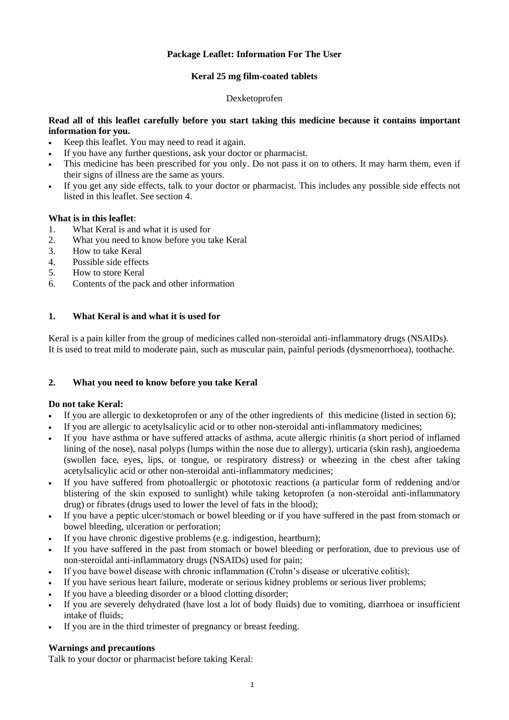# **Package Leaflet: Information For The User**

# **Keral 25 mg film-coated tablets**

### Dexketoprofen

# **Read all of this leaflet carefully before you start taking this medicine because it contains important information for you.**

- Keep this leaflet. You may need to read it again.
- If you have any further questions, ask your doctor or pharmacist.
- This medicine has been prescribed for you only. Do not pass it on to others. It may harm them, even if their signs of illness are the same as yours.
- If you get any side effects, talk to your doctor or pharmacist. This includes any possible side effects not listed in this leaflet. See section 4.

## **What is in this leaflet**:

- 1. What Keral is and what it is used for
- 2. What you need to know before you take Keral
- 3. How to take Keral
- 4. Possible side effects
- 5. How to store Keral
- 6. Contents of the pack and other information

## **1. What Keral is and what it is used for**

Keral is a pain killer from the group of medicines called non-steroidal anti-inflammatory drugs (NSAIDs). It is used to treat mild to moderate pain, such as muscular pain, painful periods (dysmenorrhoea), toothache.

# **2. What you need to know before you take Keral**

### **Do not take Keral:**

- If you are allergic to dexketoprofen or any of the other ingredients of this medicine (listed in section 6);
- If you are allergic to acetylsalicylic acid or to other non-steroidal anti-inflammatory medicines;
- If you have asthma or have suffered attacks of asthma, acute allergic rhinitis (a short period of inflamed lining of the nose), nasal polyps (lumps within the nose due to allergy), urticaria (skin rash), angioedema (swollen face, eyes, lips, or tongue, or respiratory distress) or wheezing in the chest after taking acetylsalicylic acid or other non-steroidal anti-inflammatory medicines;
- If you have suffered from photoallergic or phototoxic reactions (a particular form of reddening and/or blistering of the skin exposed to sunlight) while taking ketoprofen (a non-steroidal anti-inflammatory drug) or fibrates (drugs used to lower the level of fats in the blood);
- If you have a peptic ulcer/stomach or bowel bleeding or if you have suffered in the past from stomach or bowel bleeding, ulceration or perforation;
- If you have chronic digestive problems (e.g. indigestion, heartburn);
- If you have suffered in the past from stomach or bowel bleeding or perforation, due to previous use of non-steroidal anti-inflammatory drugs (NSAIDs) used for pain;
- If you have bowel disease with chronic inflammation (Crohn's disease or ulcerative colitis);
- If you have serious heart failure, moderate or serious kidney problems or serious liver problems;
- If you have a bleeding disorder or a blood clotting disorder;
- If you are severely dehydrated (have lost a lot of body fluids) due to vomiting, diarrhoea or insufficient intake of fluids;
- If you are in the third trimester of pregnancy or breast feeding.

### **Warnings and precautions**

Talk to your doctor or pharmacist before taking Keral: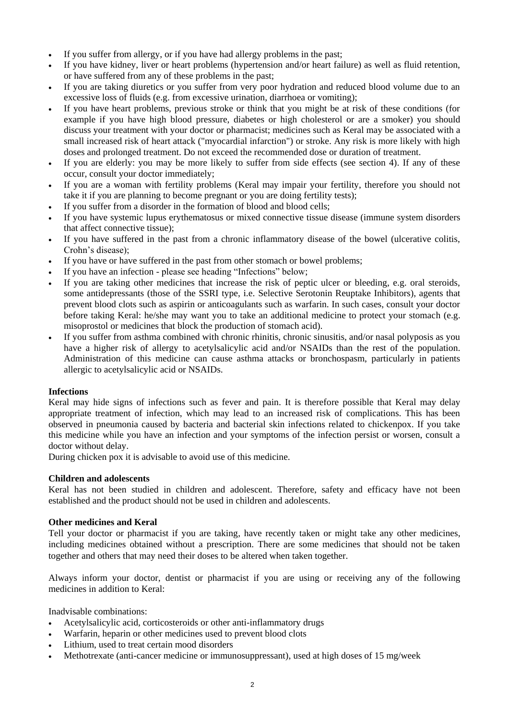- If you suffer from allergy, or if you have had allergy problems in the past;
- If you have kidney, liver or heart problems (hypertension and/or heart failure) as well as fluid retention, or have suffered from any of these problems in the past;
- If you are taking diuretics or you suffer from very poor hydration and reduced blood volume due to an excessive loss of fluids (e.g. from excessive urination, diarrhoea or vomiting);
- If you have heart problems, previous stroke or think that you might be at risk of these conditions (for example if you have high blood pressure, diabetes or high cholesterol or are a smoker) you should discuss your treatment with your doctor or pharmacist; medicines such as Keral may be associated with a small increased risk of heart attack ("myocardial infarction") or stroke. Any risk is more likely with high doses and prolonged treatment. Do not exceed the recommended dose or duration of treatment.
- If you are elderly: you may be more likely to suffer from side effects (see section 4). If any of these occur, consult your doctor immediately;
- If you are a woman with fertility problems (Keral may impair your fertility, therefore you should not take it if you are planning to become pregnant or you are doing fertility tests);
- If you suffer from a disorder in the formation of blood and blood cells;
- If you have systemic lupus erythematosus or mixed connective tissue disease (immune system disorders that affect connective tissue);
- If you have suffered in the past from a chronic inflammatory disease of the bowel (ulcerative colitis, Crohn's disease);
- If you have or have suffered in the past from other stomach or bowel problems;
- If you have an infection please see heading "Infections" below;
- If you are taking other medicines that increase the risk of peptic ulcer or bleeding, e.g. oral steroids, some antidepressants (those of the SSRI type, i.e. Selective Serotonin Reuptake Inhibitors), agents that prevent blood clots such as aspirin or anticoagulants such as warfarin. In such cases, consult your doctor before taking Keral: he/she may want you to take an additional medicine to protect your stomach (e.g. misoprostol or medicines that block the production of stomach acid).
- If you suffer from asthma combined with chronic rhinitis, chronic sinusitis, and/or nasal polyposis as you have a higher risk of allergy to acetylsalicylic acid and/or NSAIDs than the rest of the population. Administration of this medicine can cause asthma attacks or bronchospasm, particularly in patients allergic to acetylsalicylic acid or NSAIDs.

### **Infections**

Keral may hide signs of infections such as fever and pain. It is therefore possible that Keral may delay appropriate treatment of infection, which may lead to an increased risk of complications. This has been observed in pneumonia caused by bacteria and bacterial skin infections related to chickenpox. If you take this medicine while you have an infection and your symptoms of the infection persist or worsen, consult a doctor without delay.

During chicken pox it is advisable to avoid use of this medicine.

### **Children and adolescents**

Keral has not been studied in children and adolescent. Therefore, safety and efficacy have not been established and the product should not be used in children and adolescents.

### **Other medicines and Keral**

Tell your doctor or pharmacist if you are taking, have recently taken or might take any other medicines, including medicines obtained without a prescription. There are some medicines that should not be taken together and others that may need their doses to be altered when taken together.

Always inform your doctor, dentist or pharmacist if you are using or receiving any of the following medicines in addition to Keral:

Inadvisable combinations:

- Acetylsalicylic acid, corticosteroids or other anti-inflammatory drugs
- Warfarin, heparin or other medicines used to prevent blood clots
- Lithium, used to treat certain mood disorders
- Methotrexate (anti-cancer medicine or immunosuppressant), used at high doses of 15 mg/week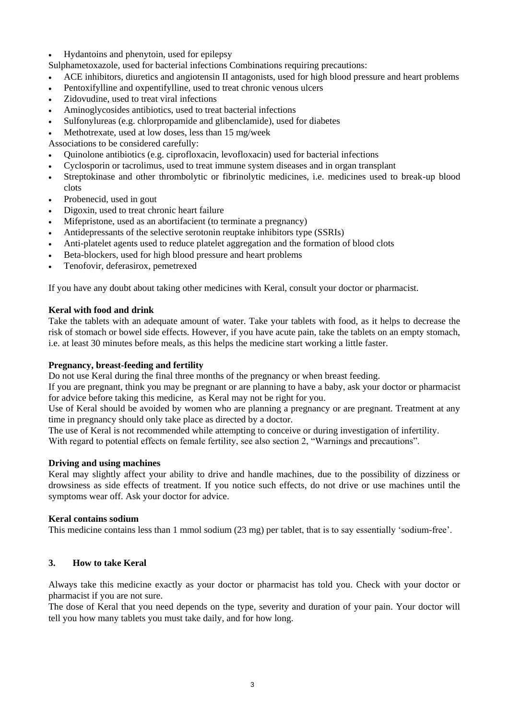Hydantoins and phenytoin, used for epilepsy

Sulphametoxazole, used for bacterial infections Combinations requiring precautions:

- ACE inhibitors, diuretics and angiotensin II antagonists, used for high blood pressure and heart problems
- Pentoxifylline and oxpentifylline, used to treat chronic venous ulcers
- Zidovudine, used to treat viral infections
- Aminoglycosides antibiotics, used to treat bacterial infections
- Sulfonylureas (e.g. chlorpropamide and glibenclamide), used for diabetes
- Methotrexate, used at low doses, less than 15 mg/week

Associations to be considered carefully:

- Quinolone antibiotics (e.g. ciprofloxacin, levofloxacin) used for bacterial infections
- Cyclosporin or tacrolimus, used to treat immune system diseases and in organ transplant
- Streptokinase and other thrombolytic or fibrinolytic medicines, i.e. medicines used to break-up blood clots
- Probenecid, used in gout
- Digoxin, used to treat chronic heart failure
- Mifepristone, used as an abortifacient (to terminate a pregnancy)
- Antidepressants of the selective serotonin reuptake inhibitors type (SSRIs)
- Anti-platelet agents used to reduce platelet aggregation and the formation of blood clots
- Beta-blockers, used for high blood pressure and heart problems
- Tenofovir, deferasirox, pemetrexed

If you have any doubt about taking other medicines with Keral, consult your doctor or pharmacist.

### **Keral with food and drink**

Take the tablets with an adequate amount of water. Take your tablets with food, as it helps to decrease the risk of stomach or bowel side effects. However, if you have acute pain, take the tablets on an empty stomach, i.e. at least 30 minutes before meals, as this helps the medicine start working a little faster.

### **Pregnancy, breast-feeding and fertility**

Do not use Keral during the final three months of the pregnancy or when breast feeding.

If you are pregnant, think you may be pregnant or are planning to have a baby, ask your doctor or pharmacist for advice before taking this medicine, as Keral may not be right for you.

Use of Keral should be avoided by women who are planning a pregnancy or are pregnant. Treatment at any time in pregnancy should only take place as directed by a doctor.

The use of Keral is not recommended while attempting to conceive or during investigation of infertility.

With regard to potential effects on female fertility, see also section 2, "Warnings and precautions".

### **Driving and using machines**

Keral may slightly affect your ability to drive and handle machines, due to the possibility of dizziness or drowsiness as side effects of treatment. If you notice such effects, do not drive or use machines until the symptoms wear off. Ask your doctor for advice.

### **Keral contains sodium**

This medicine contains less than 1 mmol sodium (23 mg) per tablet, that is to say essentially 'sodium-free'.

### **3. How to take Keral**

Always take this medicine exactly as your doctor or pharmacist has told you. Check with your doctor or pharmacist if you are not sure.

The dose of Keral that you need depends on the type, severity and duration of your pain. Your doctor will tell you how many tablets you must take daily, and for how long.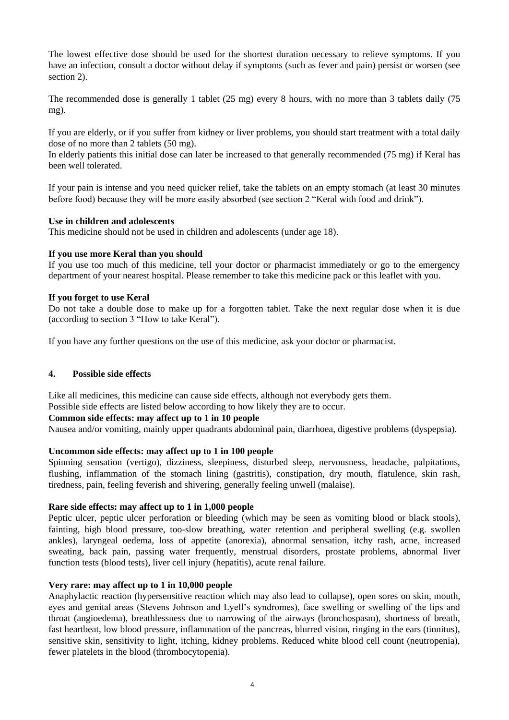The lowest effective dose should be used for the shortest duration necessary to relieve symptoms. If you have an infection, consult a doctor without delay if symptoms (such as fever and pain) persist or worsen (see section 2).

The recommended dose is generally 1 tablet (25 mg) every 8 hours, with no more than 3 tablets daily (75 mg).

If you are elderly, or if you suffer from kidney or liver problems, you should start treatment with a total daily dose of no more than 2 tablets (50 mg).

In elderly patients this initial dose can later be increased to that generally recommended (75 mg) if Keral has been well tolerated.

If your pain is intense and you need quicker relief, take the tablets on an empty stomach (at least 30 minutes before food) because they will be more easily absorbed (see section 2 "Keral with food and drink").

### **Use in children and adolescents**

This medicine should not be used in children and adolescents (under age 18).

## **If you use more Keral than you should**

If you use too much of this medicine, tell your doctor or pharmacist immediately or go to the emergency department of your nearest hospital. Please remember to take this medicine pack or this leaflet with you.

### **If you forget to use Keral**

Do not take a double dose to make up for a forgotten tablet. Take the next regular dose when it is due (according to section 3 "How to take Keral").

If you have any further questions on the use of this medicine, ask your doctor or pharmacist.

# **4. Possible side effects**

Like all medicines, this medicine can cause side effects, although not everybody gets them. Possible side effects are listed below according to how likely they are to occur.

### **Common side effects: may affect up to 1 in 10 people**

Nausea and/or vomiting, mainly upper quadrants abdominal pain, diarrhoea, digestive problems (dyspepsia).

### **Uncommon side effects: may affect up to 1 in 100 people**

Spinning sensation (vertigo), dizziness, sleepiness, disturbed sleep, nervousness, headache, palpitations, flushing, inflammation of the stomach lining (gastritis), constipation, dry mouth, flatulence, skin rash, tiredness, pain, feeling feverish and shivering, generally feeling unwell (malaise).

### **Rare side effects: may affect up to 1 in 1,000 people**

Peptic ulcer, peptic ulcer perforation or bleeding (which may be seen as vomiting blood or black stools), fainting, high blood pressure, too-slow breathing, water retention and peripheral swelling (e.g. swollen ankles), laryngeal oedema, loss of appetite (anorexia), abnormal sensation, itchy rash, acne, increased sweating, back pain, passing water frequently, menstrual disorders, prostate problems, abnormal liver function tests (blood tests), liver cell injury (hepatitis), acute renal failure.

### **Very rare: may affect up to 1 in 10,000 people**

Anaphylactic reaction (hypersensitive reaction which may also lead to collapse), open sores on skin, mouth, eyes and genital areas (Stevens Johnson and Lyell's syndromes), face swelling or swelling of the lips and throat (angioedema), breathlessness due to narrowing of the airways (bronchospasm), shortness of breath, fast heartbeat, low blood pressure, inflammation of the pancreas, blurred vision, ringing in the ears (tinnitus), sensitive skin, sensitivity to light, itching, kidney problems. Reduced white blood cell count (neutropenia), fewer platelets in the blood (thrombocytopenia).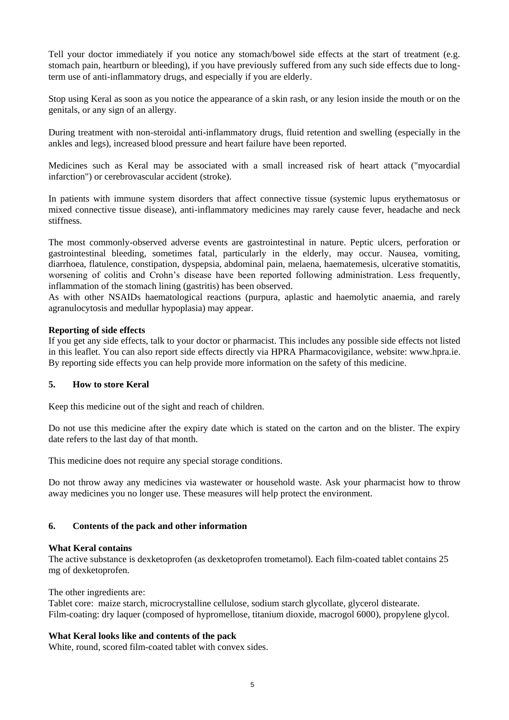Tell your doctor immediately if you notice any stomach/bowel side effects at the start of treatment (e.g. stomach pain, heartburn or bleeding), if you have previously suffered from any such side effects due to longterm use of anti-inflammatory drugs, and especially if you are elderly.

Stop using Keral as soon as you notice the appearance of a skin rash, or any lesion inside the mouth or on the genitals, or any sign of an allergy.

During treatment with non-steroidal anti-inflammatory drugs, fluid retention and swelling (especially in the ankles and legs), increased blood pressure and heart failure have been reported.

Medicines such as Keral may be associated with a small increased risk of heart attack ("myocardial infarction") or cerebrovascular accident (stroke).

In patients with immune system disorders that affect connective tissue (systemic lupus erythematosus or mixed connective tissue disease), anti-inflammatory medicines may rarely cause fever, headache and neck stiffness.

The most commonly-observed adverse events are gastrointestinal in nature. Peptic ulcers, perforation or gastrointestinal bleeding, sometimes fatal, particularly in the elderly, may occur. Nausea, vomiting, diarrhoea, flatulence, constipation, dyspepsia, abdominal pain, melaena, haematemesis, ulcerative stomatitis, worsening of colitis and Crohn's disease have been reported following administration. Less frequently, inflammation of the stomach lining (gastritis) has been observed.

As with other NSAIDs haematological reactions (purpura, aplastic and haemolytic anaemia, and rarely agranulocytosis and medullar hypoplasia) may appear.

### **Reporting of side effects**

If you get any side effects, talk to your doctor or pharmacist. This includes any possible side effects not listed in this leaflet. You can also report side effects directly via HPRA Pharmacovigilance, website: www.hpra.ie. By reporting side effects you can help provide more information on the safety of this medicine.

### **5. How to store Keral**

Keep this medicine out of the sight and reach of children.

Do not use this medicine after the expiry date which is stated on the carton and on the blister. The expiry date refers to the last day of that month.

This medicine does not require any special storage conditions.

Do not throw away any medicines via wastewater or household waste. Ask your pharmacist how to throw away medicines you no longer use. These measures will help protect the environment.

### **6. Contents of the pack and other information**

### **What Keral contains**

The active substance is dexketoprofen (as dexketoprofen trometamol). Each film-coated tablet contains 25 mg of dexketoprofen.

The other ingredients are:

Tablet core: maize starch, microcrystalline cellulose, sodium starch glycollate, glycerol distearate. Film-coating: dry laquer (composed of hypromellose, titanium dioxide, macrogol 6000), propylene glycol.

### **What Keral looks like and contents of the pack**

White, round, scored film-coated tablet with convex sides.